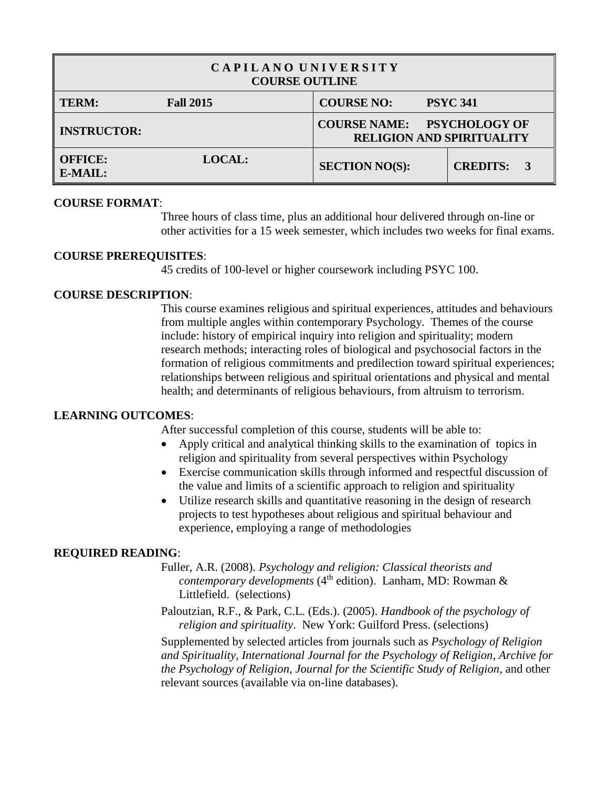| CAPILANO UNIVERSITY<br><b>COURSE OUTLINE</b> |                  |                                                                                 |                 |  |
|----------------------------------------------|------------------|---------------------------------------------------------------------------------|-----------------|--|
| <b>TERM:</b>                                 | <b>Fall 2015</b> | <b>COURSE NO:</b>                                                               | <b>PSYC 341</b> |  |
| <b>INSTRUCTOR:</b>                           |                  | <b>COURSE NAME:</b><br><b>PSYCHOLOGY OF</b><br><b>RELIGION AND SPIRITUALITY</b> |                 |  |
| <b>OFFICE:</b><br>E-MAIL:                    | <b>LOCAL:</b>    | <b>SECTION NO(S):</b>                                                           | <b>CREDITS:</b> |  |

## **COURSE FORMAT**:

Three hours of class time, plus an additional hour delivered through on-line or other activities for a 15 week semester, which includes two weeks for final exams.

#### **COURSE PREREQUISITES**:

45 credits of 100-level or higher coursework including PSYC 100.

## **COURSE DESCRIPTION**:

This course examines religious and spiritual experiences, attitudes and behaviours from multiple angles within contemporary Psychology. Themes of the course include: history of empirical inquiry into religion and spirituality; modern research methods; interacting roles of biological and psychosocial factors in the formation of religious commitments and predilection toward spiritual experiences; relationships between religious and spiritual orientations and physical and mental health; and determinants of religious behaviours, from altruism to terrorism.

## **LEARNING OUTCOMES**:

After successful completion of this course, students will be able to:

- Apply critical and analytical thinking skills to the examination of topics in religion and spirituality from several perspectives within Psychology
- Exercise communication skills through informed and respectful discussion of the value and limits of a scientific approach to religion and spirituality
- Utilize research skills and quantitative reasoning in the design of research projects to test hypotheses about religious and spiritual behaviour and experience, employing a range of methodologies

## **REQUIRED READING**:

- Fuller, A.R. (2008). *Psychology and religion: Classical theorists and contemporary developments* (4<sup>th</sup> edition). Lanham, MD: Rowman & Littlefield. (selections)
- Paloutzian, R.F., & Park, C.L. (Eds.). (2005). *Handbook of the psychology of religion and spirituality*. New York: Guilford Press. (selections)

Supplemented by selected articles from journals such as *Psychology of Religion and Spirituality*, *International Journal for the Psychology of Religion*, *Archive for the Psychology of Religion*, *Journal for the Scientific Study of Religion*, and other relevant sources (available via on-line databases).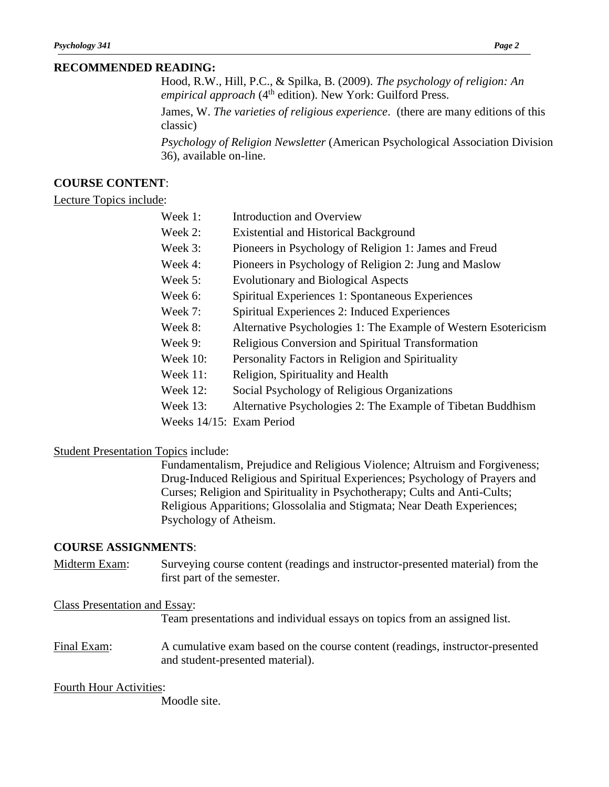#### **RECOMMENDED READING:**

Hood, R.W., Hill, P.C., & Spilka, B. (2009). *The psychology of religion: An empirical approach* (4<sup>th</sup> edition). New York: Guilford Press.

James, W. *The varieties of religious experience*. (there are many editions of this classic)

*Psychology of Religion Newsletter* (American Psychological Association Division 36), available on-line.

## **COURSE CONTENT**:

#### Lecture Topics include:

- Week 1: Introduction and Overview
- Week 2: Existential and Historical Background
- Week 3: Pioneers in Psychology of Religion 1: James and Freud
- Week 4: Pioneers in Psychology of Religion 2: Jung and Maslow
- Week 5: Evolutionary and Biological Aspects
- Week 6: Spiritual Experiences 1: Spontaneous Experiences
- Week 7: Spiritual Experiences 2: Induced Experiences
- Week 8: Alternative Psychologies 1: The Example of Western Esotericism
- Week 9: Religious Conversion and Spiritual Transformation
- Week 10: Personality Factors in Religion and Spirituality
- Week 11: Religion, Spirituality and Health
- Week 12: Social Psychology of Religious Organizations
- Week 13: Alternative Psychologies 2: The Example of Tibetan Buddhism
- Weeks 14/15: Exam Period

## Student Presentation Topics include:

Fundamentalism, Prejudice and Religious Violence; Altruism and Forgiveness; Drug-Induced Religious and Spiritual Experiences; Psychology of Prayers and Curses; Religion and Spirituality in Psychotherapy; Cults and Anti-Cults; Religious Apparitions; Glossolalia and Stigmata; Near Death Experiences; Psychology of Atheism.

## **COURSE ASSIGNMENTS**:

Midterm Exam: Surveying course content (readings and instructor-presented material) from the first part of the semester.

## Class Presentation and Essay:

Team presentations and individual essays on topics from an assigned list.

Final Exam: A cumulative exam based on the course content (readings, instructor-presented and student-presented material).

## Fourth Hour Activities:

Moodle site.